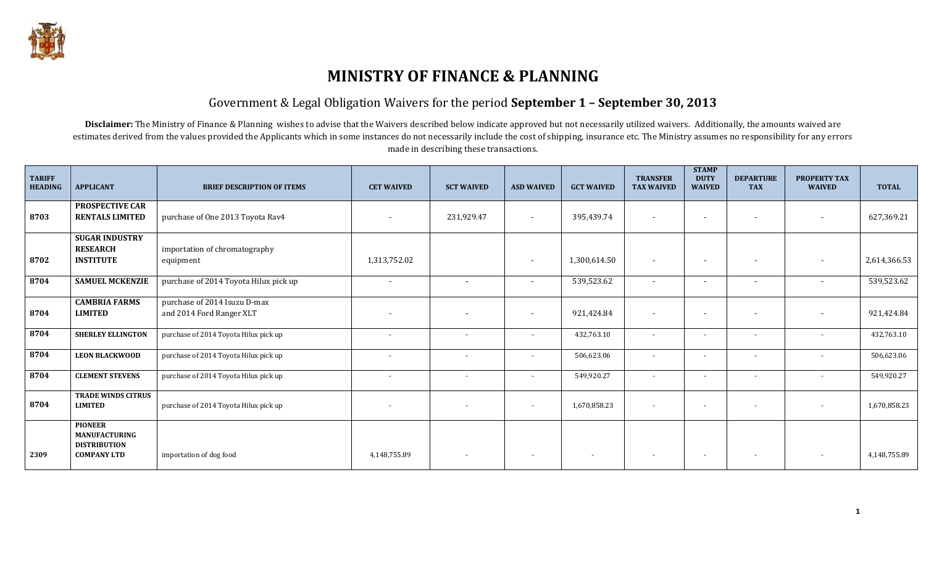

# **MINISTRY OF FINANCE & PLANNING**

#### Government & Legal Obligation Waivers for the period **September 1 – September 30, 2013**

Disclaimer: The Ministry of Finance & Planning wishes to advise that the Waivers described below indicate approved but not necessarily utilized waivers. Additionally, the amounts waived are estimates derived from the values provided the Applicants which in some instances do not necessarily include the cost of shipping, insurance etc. The Ministry assumes no responsibility for any errors made in describing these transactions.

| <b>TARIFF</b><br><b>HEADING</b> | <b>APPLICANT</b>                                                                    | <b>BRIEF DESCRIPTION OF ITEMS</b>                        | <b>CET WAIVED</b>        | <b>SCT WAIVED</b>        | <b>ASD WAIVED</b>        | <b>GCT WAIVED</b>        | <b>TRANSFER</b><br><b>TAX WAIVED</b> | <b>STAMP</b><br><b>DUTY</b><br><b>WAIVED</b> | <b>DEPARTURE</b><br><b>TAX</b> | <b>PROPERTY TAX</b><br><b>WAIVED</b> | <b>TOTAL</b> |
|---------------------------------|-------------------------------------------------------------------------------------|----------------------------------------------------------|--------------------------|--------------------------|--------------------------|--------------------------|--------------------------------------|----------------------------------------------|--------------------------------|--------------------------------------|--------------|
| 8703                            | <b>PROSPECTIVE CAR</b><br><b>RENTALS LIMITED</b>                                    | purchase of One 2013 Toyota Rav4                         |                          | 231,929.47               | $\overline{\phantom{a}}$ | 395,439.74               | $\overline{\phantom{0}}$             | $\overline{\phantom{a}}$                     |                                | $\overline{\phantom{a}}$             | 627,369.21   |
| 8702                            | <b>SUGAR INDUSTRY</b><br><b>RESEARCH</b><br><b>INSTITUTE</b>                        | importation of chromatography<br>equipment               | 1,313,752.02             |                          | $\overline{\phantom{a}}$ | 1,300,614.50             | $\overline{\phantom{a}}$             | $\blacksquare$                               |                                | $\overline{\phantom{a}}$             | 2,614,366.53 |
| 8704                            | <b>SAMUEL MCKENZIE</b>                                                              | purchase of 2014 Toyota Hilux pick up                    | $\sim$                   | $\overline{\phantom{a}}$ | $\sim$                   | 539,523.62               | $\sim$                               | $\sim$                                       |                                | $\overline{\phantom{a}}$             | 539,523.62   |
| 8704                            | <b>CAMBRIA FARMS</b><br><b>LIMITED</b>                                              | purchase of 2014 Isuzu D-max<br>and 2014 Ford Ranger XLT | $\overline{\phantom{a}}$ | $\blacksquare$           | $\overline{\phantom{a}}$ | 921,424.84               | $\overline{\phantom{a}}$             | $\blacksquare$                               |                                | $\overline{\phantom{a}}$             | 921,424.84   |
| 8704                            | <b>SHERLEY ELLINGTON</b>                                                            | purchase of 2014 Toyota Hilux pick up                    | $\overline{\phantom{a}}$ |                          | $\overline{\phantom{a}}$ | 432,763.10               | $\overline{a}$                       | $\overline{\phantom{a}}$                     |                                | $\overline{\phantom{a}}$             | 432,763.10   |
| 8704                            | <b>LEON BLACKWOOD</b>                                                               | purchase of 2014 Toyota Hilux pick up                    |                          |                          |                          | 506,623.06               |                                      | $\overline{\phantom{0}}$                     |                                |                                      | 506,623.06   |
| 8704                            | <b>CLEMENT STEVENS</b>                                                              | purchase of 2014 Toyota Hilux pick up                    | $\overline{\phantom{a}}$ | $\overline{\phantom{a}}$ | $\overline{\phantom{a}}$ | 549,920.27               | $\overline{\phantom{0}}$             | $\overline{\phantom{a}}$                     |                                | $\overline{\phantom{a}}$             | 549,920.27   |
| 8704                            | <b>TRADE WINDS CITRUS</b><br><b>LIMITED</b>                                         | purchase of 2014 Toyota Hilux pick up                    | $\overline{\phantom{a}}$ | $\overline{\phantom{a}}$ | $\overline{\phantom{a}}$ | 1,670,858.23             | $\sim$                               | $\overline{\phantom{a}}$                     |                                | $\overline{\phantom{a}}$             | 1,670,858.23 |
| 2309                            | <b>PIONEER</b><br><b>MANUFACTURING</b><br><b>DISTRIBUTION</b><br><b>COMPANY LTD</b> | importation of dog food                                  | 4,148,755.89             |                          | $\overline{\phantom{a}}$ | $\overline{\phantom{a}}$ |                                      |                                              |                                |                                      | 4,148,755.89 |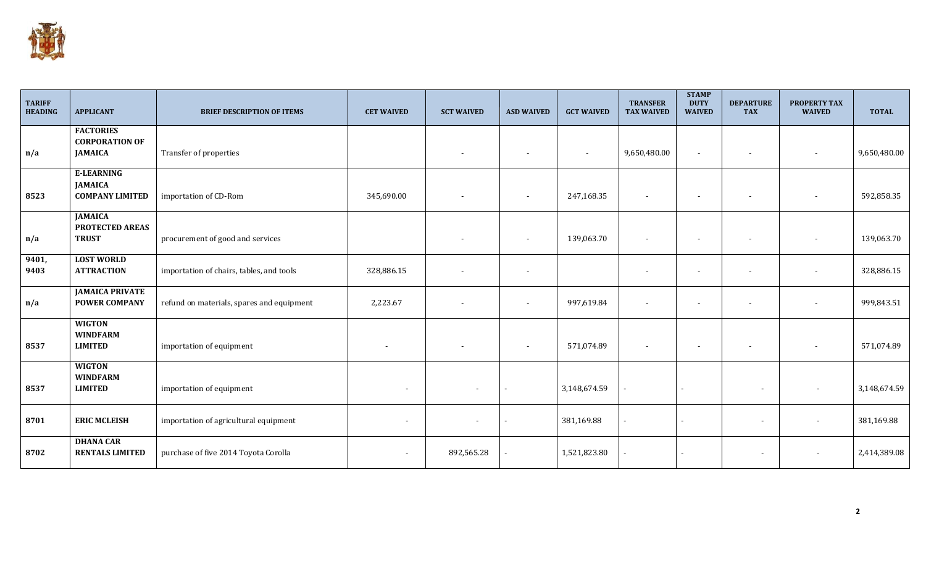

| <b>TARIFF</b><br><b>HEADING</b> | <b>APPLICANT</b>                                              | <b>BRIEF DESCRIPTION OF ITEMS</b>         | <b>CET WAIVED</b>        | <b>SCT WAIVED</b>        | <b>ASD WAIVED</b>        | <b>GCT WAIVED</b>        | <b>TRANSFER</b><br><b>TAX WAIVED</b> | <b>STAMP</b><br><b>DUTY</b><br><b>WAIVED</b> | <b>DEPARTURE</b><br><b>TAX</b> | <b>PROPERTY TAX</b><br><b>WAIVED</b> | <b>TOTAL</b> |
|---------------------------------|---------------------------------------------------------------|-------------------------------------------|--------------------------|--------------------------|--------------------------|--------------------------|--------------------------------------|----------------------------------------------|--------------------------------|--------------------------------------|--------------|
| n/a                             | <b>FACTORIES</b><br><b>CORPORATION OF</b><br><b>JAMAICA</b>   | Transfer of properties                    |                          |                          | $\overline{\phantom{a}}$ | $\overline{\phantom{a}}$ | 9,650,480.00                         |                                              |                                |                                      | 9,650,480.00 |
| 8523                            | <b>E-LEARNING</b><br><b>JAMAICA</b><br><b>COMPANY LIMITED</b> | importation of CD-Rom                     | 345,690.00               |                          | $\overline{\phantom{a}}$ | 247,168.35               |                                      |                                              |                                |                                      | 592,858.35   |
| n/a                             | <b>JAMAICA</b><br>PROTECTED AREAS<br><b>TRUST</b>             | procurement of good and services          |                          |                          | $\overline{\phantom{a}}$ | 139,063.70               | $\overline{\phantom{a}}$             |                                              |                                |                                      | 139,063.70   |
| 9401,<br>9403                   | <b>LOST WORLD</b><br><b>ATTRACTION</b>                        | importation of chairs, tables, and tools  | 328,886.15               | $\overline{\phantom{a}}$ | $\overline{\phantom{a}}$ |                          | $\overline{\phantom{a}}$             |                                              |                                |                                      | 328,886.15   |
| n/a                             | <b>JAMAICA PRIVATE</b><br><b>POWER COMPANY</b>                | refund on materials, spares and equipment | 2,223.67                 |                          | $\overline{\phantom{a}}$ | 997,619.84               | $\overline{\phantom{a}}$             |                                              |                                | $\overline{\phantom{a}}$             | 999,843.51   |
| 8537                            | <b>WIGTON</b><br><b>WINDFARM</b><br><b>LIMITED</b>            | importation of equipment                  |                          |                          | $\overline{\phantom{a}}$ | 571,074.89               | $\overline{\phantom{a}}$             |                                              |                                |                                      | 571,074.89   |
| 8537                            | <b>WIGTON</b><br><b>WINDFARM</b><br><b>LIMITED</b>            | importation of equipment                  | $\overline{\phantom{a}}$ | $\overline{\phantom{a}}$ |                          | 3,148,674.59             |                                      |                                              | $\overline{\phantom{a}}$       |                                      | 3,148,674.59 |
| 8701                            | <b>ERIC MCLEISH</b>                                           | importation of agricultural equipment     | $\overline{\phantom{a}}$ | $\overline{\phantom{a}}$ |                          | 381,169.88               |                                      |                                              | $\overline{\phantom{a}}$       |                                      | 381,169.88   |
| 8702                            | <b>DHANA CAR</b><br><b>RENTALS LIMITED</b>                    | purchase of five 2014 Toyota Corolla      | $\overline{\phantom{a}}$ | 892,565.28               |                          | 1,521,823.80             |                                      |                                              | $\overline{\phantom{a}}$       |                                      | 2,414,389.08 |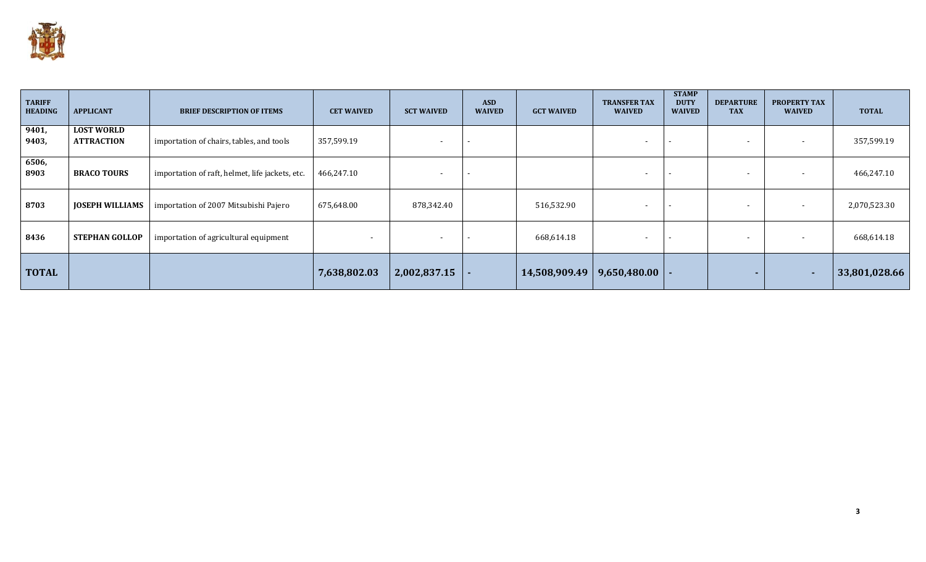

| <b>TARIFF</b><br><b>HEADING</b> | <b>APPLICANT</b>                       | <b>BRIEF DESCRIPTION OF ITEMS</b>               | <b>CET WAIVED</b>        | <b>SCT WAIVED</b>        | <b>ASD</b><br><b>WAIVED</b> | <b>GCT WAIVED</b> | <b>TRANSFER TAX</b><br><b>WAIVED</b> | <b>STAMP</b><br><b>DUTY</b><br><b>WAIVED</b> | <b>DEPARTURE</b><br><b>TAX</b> | <b>PROPERTY TAX</b><br><b>WAIVED</b> | <b>TOTAL</b>  |
|---------------------------------|----------------------------------------|-------------------------------------------------|--------------------------|--------------------------|-----------------------------|-------------------|--------------------------------------|----------------------------------------------|--------------------------------|--------------------------------------|---------------|
| 9401,<br>9403,                  | <b>LOST WORLD</b><br><b>ATTRACTION</b> | importation of chairs, tables, and tools        | 357,599.19               | $\overline{\phantom{a}}$ |                             |                   | $\overline{\phantom{a}}$             | $\overline{\phantom{a}}$                     |                                | $\overline{\phantom{0}}$             | 357,599.19    |
| 6506,<br>8903                   | <b>BRACO TOURS</b>                     | importation of raft, helmet, life jackets, etc. | 466,247.10               | $\blacksquare$           |                             |                   | $\overline{\phantom{a}}$             | $\overline{\phantom{a}}$                     |                                | $\overline{\phantom{a}}$             | 466,247.10    |
| 8703                            | <b>JOSEPH WILLIAMS</b>                 | importation of 2007 Mitsubishi Pajero           | 675,648.00               | 878,342.40               |                             | 516,532.90        | $\overline{\phantom{a}}$             | $\overline{\phantom{a}}$                     |                                | $\overline{\phantom{a}}$             | 2,070,523.30  |
| 8436                            | <b>STEPHAN GOLLOP</b>                  | importation of agricultural equipment           | $\overline{\phantom{0}}$ | $\blacksquare$           |                             | 668,614.18        | $\overline{\phantom{a}}$             | $\overline{\phantom{a}}$                     |                                | $\overline{\phantom{a}}$             | 668,614.18    |
| <b>TOTAL</b>                    |                                        |                                                 | 7,638,802.03             | 2,002,837.15             |                             | 14,508,909.49     | $9,650,480.00$  -                    |                                              |                                | <b>1999</b>                          | 33,801,028.66 |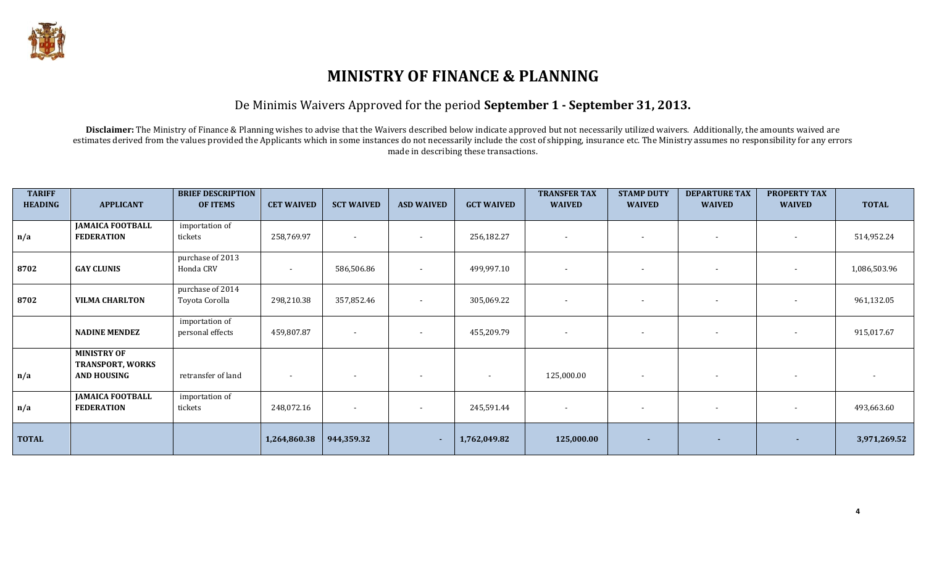

# **MINISTRY OF FINANCE & PLANNING**

### De Minimis Waivers Approved for the period **September 1 - September 31, 2013.**

Disclaimer: The Ministry of Finance & Planning wishes to advise that the Waivers described below indicate approved but not necessarily utilized waivers. Additionally, the amounts waived are estimates derived from the values provided the Applicants which in some instances do not necessarily include the cost of shipping, insurance etc. The Ministry assumes no responsibility for any errors made in describing these transactions.

| <b>TARIFF</b><br><b>HEADING</b> | <b>APPLICANT</b>                                                    | <b>BRIEF DESCRIPTION</b><br><b>OF ITEMS</b> | <b>CET WAIVED</b> | <b>SCT WAIVED</b>        | <b>ASD WAIVED</b>        | <b>GCT WAIVED</b>        | <b>TRANSFER TAX</b><br><b>WAIVED</b> | <b>STAMP DUTY</b><br><b>WAIVED</b> | <b>DEPARTURE TAX</b><br><b>WAIVED</b> | <b>PROPERTY TAX</b><br><b>WAIVED</b> | <b>TOTAL</b> |
|---------------------------------|---------------------------------------------------------------------|---------------------------------------------|-------------------|--------------------------|--------------------------|--------------------------|--------------------------------------|------------------------------------|---------------------------------------|--------------------------------------|--------------|
| n/a                             | <b>JAMAICA FOOTBALL</b><br><b>FEDERATION</b>                        | importation of<br>tickets                   | 258,769.97        | $\overline{\phantom{a}}$ | $\overline{\phantom{a}}$ | 256,182.27               | $\overline{\phantom{a}}$             |                                    | $\sim$                                | $\blacksquare$                       | 514,952.24   |
| 8702                            | <b>GAY CLUNIS</b>                                                   | purchase of 2013<br>Honda CRV               |                   | 586,506.86               | $\overline{\phantom{a}}$ | 499,997.10               |                                      |                                    | $\overline{\phantom{a}}$              | $\blacksquare$                       | 1,086,503.96 |
| 8702                            | <b>VILMA CHARLTON</b>                                               | purchase of 2014<br>Toyota Corolla          | 298,210.38        | 357,852.46               |                          | 305,069.22               |                                      |                                    | $\overline{\phantom{a}}$              | $\blacksquare$                       | 961,132.05   |
|                                 | <b>NADINE MENDEZ</b>                                                | importation of<br>personal effects          | 459,807.87        | $\sim$                   | $\overline{\phantom{a}}$ | 455,209.79               | $\overline{\phantom{a}}$             | $\overline{\phantom{a}}$           | $\sim$                                | $\overline{\phantom{a}}$             | 915,017.67   |
| n/a                             | <b>MINISTRY OF</b><br><b>TRANSPORT, WORKS</b><br><b>AND HOUSING</b> | retransfer of land                          |                   | $\overline{\phantom{a}}$ |                          | $\overline{\phantom{a}}$ | 125,000.00                           | $\overline{\phantom{a}}$           | $\sim$                                | $\overline{\phantom{a}}$             |              |
| n/a                             | <b>JAMAICA FOOTBALL</b><br><b>FEDERATION</b>                        | importation of<br>tickets                   | 248,072.16        | $\overline{\phantom{a}}$ |                          | 245,591.44               |                                      |                                    | $\overline{\phantom{a}}$              | $\blacksquare$                       | 493,663.60   |
| <b>TOTAL</b>                    |                                                                     |                                             | 1,264,860.38      | 944,359.32               | $\sim$                   | 1,762,049.82             | 125,000.00                           | ж.                                 | ж.                                    | . —                                  | 3,971,269.52 |